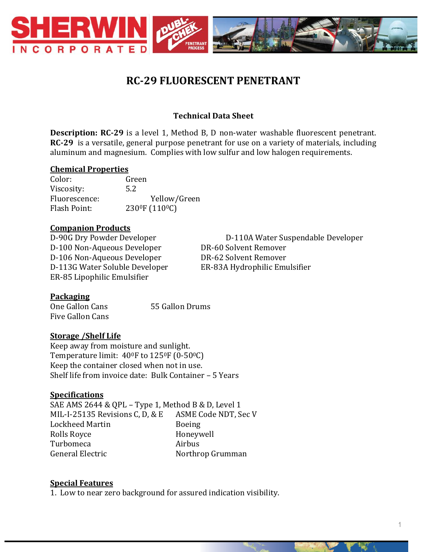

# **RC-29 FLUORESCENT PENETRANT**

# **Technical Data Sheet**

**Description: RC-29** is a level 1, Method B, D non-water washable fluorescent penetrant. **RC-29** is a versatile, general purpose penetrant for use on a variety of materials, including aluminum and magnesium. Complies with low sulfur and low halogen requirements.

#### **Chemical Properties**

Color: Green Viscosity: 5.2 Fluorescence: Yellow/Green Flash Point: 230<sup>0</sup>F (110<sup>0</sup>C)

## **Companion Products**

D-100 Non-Aqueous Developer DR-60 Solvent Remover D-106 Non-Aqueous Developer DR-62 Solvent Remover D-113G Water Soluble Developer ER-83A Hydrophilic Emulsifier ER-85 Lipophilic Emulsifier

D-90G Dry Powder Developer D-110A Water Suspendable Developer

#### **Packaging**

One Gallon Cans 55 Gallon Drums Five Gallon Cans

## **Storage /Shelf Life**

Keep away from moisture and sunlight. Temperature limit:  $40^{\circ}$ F to  $125^{\circ}$ F (0-50 $^{\circ}$ C) Keep the container closed when not in use. Shelf life from invoice date: Bulk Container – 5 Years

#### **Specifications**

SAE AMS 2644 & QPL – Type 1, Method B & D, Level 1 MIL-I-25135 Revisions C, D, & E ASME Code NDT, Sec V Lockheed Martin Boeing Rolls Royce **Honeywell** Turbomeca Airbus General Electric Northrop Grumman

#### **Special Features**

1. Low to near zero background for assured indication visibility.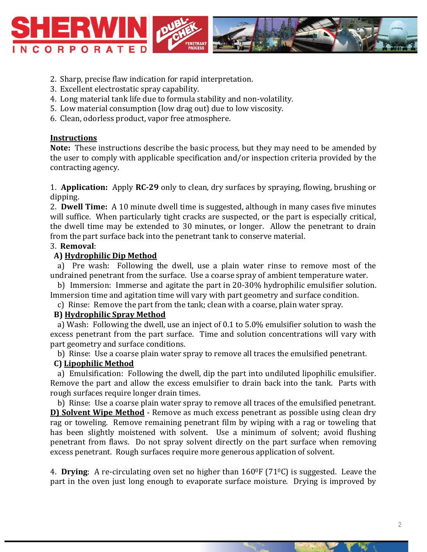

- 2. Sharp, precise flaw indication for rapid interpretation.
- 3. Excellent electrostatic spray capability.
- 4. Long material tank life due to formula stability and non-volatility.
- 5. Low material consumption (low drag out) due to low viscosity.
- 6. Clean, odorless product, vapor free atmosphere.

#### **Instructions**

**Note:** These instructions describe the basic process, but they may need to be amended by the user to comply with applicable specification and/or inspection criteria provided by the contracting agency.

1. **Application:** Apply **RC-29** only to clean, dry surfaces by spraying, flowing, brushing or dipping.

2. **Dwell Time:** A 10 minute dwell time is suggested, although in many cases five minutes will suffice. When particularly tight cracks are suspected, or the part is especially critical, the dwell time may be extended to 30 minutes, or longer. Allow the penetrant to drain from the part surface back into the penetrant tank to conserve material.

#### 3. **Removal**:

## **A) Hydrophilic Dip Method**

 a) Pre wash: Following the dwell, use a plain water rinse to remove most of the undrained penetrant from the surface. Use a coarse spray of ambient temperature water.

 b) Immersion: Immerse and agitate the part in 20-30% hydrophilic emulsifier solution. Immersion time and agitation time will vary with part geometry and surface condition.

c) Rinse: Remove the part from the tank; clean with a coarse, plain water spray.

## **B) Hydrophilic Spray Method**

 a) Wash: Following the dwell, use an inject of 0.1 to 5.0% emulsifier solution to wash the excess penetrant from the part surface. Time and solution concentrations will vary with part geometry and surface conditions.

b) Rinse: Use a coarse plain water spray to remove all traces the emulsified penetrant.

## **C) Lipophilic Method**

 a) Emulsification: Following the dwell, dip the part into undiluted lipophilic emulsifier. Remove the part and allow the excess emulsifier to drain back into the tank. Parts with rough surfaces require longer drain times.

 b) Rinse: Use a coarse plain water spray to remove all traces of the emulsified penetrant. **D) Solvent Wipe Method** - Remove as much excess penetrant as possible using clean dry rag or toweling. Remove remaining penetrant film by wiping with a rag or toweling that has been slightly moistened with solvent. Use a minimum of solvent; avoid flushing penetrant from flaws. Do not spray solvent directly on the part surface when removing excess penetrant. Rough surfaces require more generous application of solvent.

4. **Drying**: A re-circulating oven set no higher than 1600F (710C) is suggested. Leave the part in the oven just long enough to evaporate surface moisture. Drying is improved by